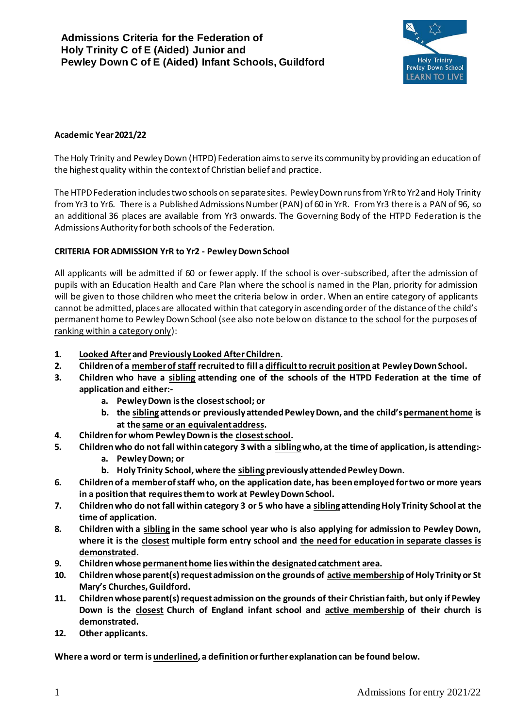

### **Academic Year 2021/22**

The Holy Trinity and Pewley Down (HTPD) Federation aims to serve its community by providing an education of the highest quality within the context of Christian belief and practice.

The HTPD Federation includes two schools on separate sites. Pewley Down runs from YrR to Yr2 and Holy Trinity from Yr3 to Yr6. There is a Published Admissions Number (PAN) of 60 in YrR. From Yr3 there is a PAN of 96, so an additional 36 places are available from Yr3 onwards. The Governing Body of the HTPD Federation is the Admissions Authority for both schools of the Federation.

### **CRITERIA FOR ADMISSION YrR to Yr2 - Pewley Down School**

All applicants will be admitted if 60 or fewer apply. If the school is over-subscribed, after the admission of pupils with an Education Health and Care Plan where the school is named in the Plan, priority for admission will be given to those children who meet the criteria below in order. When an entire category of applicants cannot be admitted, places are allocated within that category in ascending order of the distance of the child's permanent home to Pewley Down School (see also note below on distance to the school for the purposes of ranking within a category only):

- **1. Looked Afterand Previously Looked After Children.**
- **2. Children of a member of staff recruited to fill a difficult to recruit position at Pewley Down School.**
- **3. Children who have a sibling attending one of the schools of the HTPD Federation at the time of application and either:**
	- **a. Pewley Down is the closest school; or**
	- **b. the sibling attends or previously attended Pewley Down, and the child's permanent home is at the same or an equivalent address.**
- **4. Children for whom Pewley Down is the closest school.**
- **5. Children who do not fall within category 3 with a siblingwho, at the time of application, is attending:**
	- **a. Pewley Down; or**
	- **b.** Holy Trinity School, where the sibling previously attended Pewley Down.
- **6. Children of a member of staff who, on the application date, has been employed for two or more years in a position that requires them to work at Pewley Down School.**
- **7. Children who do not fall within category 3 or 5 who have a sibling attending Holy Trinity School at the time of application.**
- **8. Children with a sibling in the same school year who is also applying for admission to Pewley Down, where it is the closest multiple form entry school and the need for education in separate classes is demonstrated.**
- **9. Children whose permanent home lies within the designated catchment area.**
- **10. Children whose parent(s) request admission on the grounds of active membership of Holy Trinity or St Mary's Churches, Guildford.**
- **11. Children whose parent(s) request admission on the grounds of their Christian faith, but only if Pewley Down is the closest Church of England infant school and active membership of their church is demonstrated.**
- **12. Other applicants.**

**Where a word or term is underlined, a definition or further explanation can be found below.**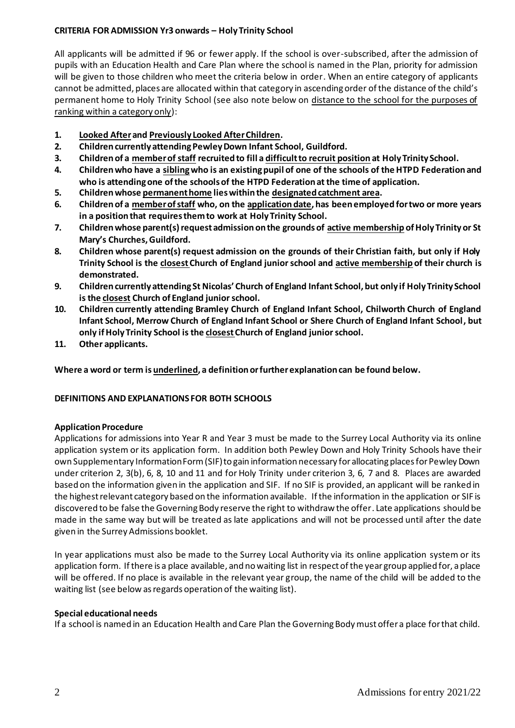## **CRITERIA FOR ADMISSION Yr3 onwards – Holy Trinity School**

All applicants will be admitted if 96 or fewer apply. If the school is over-subscribed, after the admission of pupils with an Education Health and Care Plan where the school is named in the Plan, priority for admission will be given to those children who meet the criteria below in order. When an entire category of applicants cannot be admitted, places are allocated within that category in ascending order of the distance of the child's permanent home to Holy Trinity School (see also note below on distance to the school for the purposes of ranking within a category only):

- **1. Looked Afterand Previously Looked After Children.**
- **2. Children currently attending Pewley Down Infant School, Guildford.**
- **3. Children of a member of staff recruited to fill a difficult to recruit position at Holy Trinity School.**
- **4. Children who have a siblingwho is an existing pupil of one of the schools of the HTPD Federation and who is attending one of the schools of the HTPD Federation at the time of application.**
- **5. Children whose permanent home lies within the designated catchment area.**
- **6. Children of a member of staff who, on the application date, has been employed for two or more years in a position that requires them to work at Holy Trinity School.**
- **7. Children whose parent(s) request admission on the grounds of active membership of Holy Trinity or St Mary's Churches, Guildford.**
- **8. Children whose parent(s) request admission on the grounds of their Christian faith, but only if Holy Trinity School is the closest Church of England junior school and active membership of their church is demonstrated.**
- **9. Children currently attending St Nicolas' Church of England Infant School, but only if Holy Trinity School is the closest Church of England junior school.**
- **10. Children currently attending Bramley Church of England Infant School, Chilworth Church of England Infant School, Merrow Church of England Infant School or Shere Church of England Infant School, but only if Holy Trinity School is the closestChurch of England juniorschool.**
- **11. Other applicants.**

**Where a word or term is underlined, a definition or further explanation can be found below.**

## **DEFINITIONS AND EXPLANATIONS FOR BOTH SCHOOLS**

## **Application Procedure**

Applications for admissions into Year R and Year 3 must be made to the Surrey Local Authority via its online application system or its application form. In addition both Pewley Down and Holy Trinity Schools have their own Supplementary Information Form (SIF) to gain information necessary for allocating places for Pewley Down under criterion 2, 3(b), 6, 8, 10 and 11 and for Holy Trinity under criterion 3, 6, 7 and 8. Places are awarded based on the information given in the application and SIF. If no SIF is provided, an applicant will be ranked in the highest relevant category based on the information available. If the information in the application or SIF is discovered to be false the Governing Body reserve the right to withdraw the offer. Late applications should be made in the same way but will be treated as late applications and will not be processed until after the date given in the Surrey Admissions booklet.

In year applications must also be made to the Surrey Local Authority via its online application system or its application form. If there is a place available, and no waiting list in respect of the year group applied for, a place will be offered. If no place is available in the relevant year group, the name of the child will be added to the waiting list (see below as regards operation of the waiting list).

## **Special educational needs**

If a school is named in an Education Health and Care Plan the Governing Body must offer a place for that child.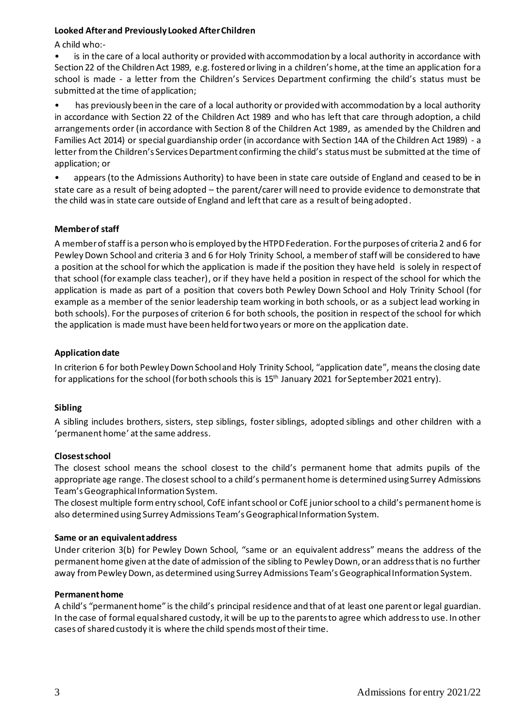### **Looked After and Previously Looked After Children**

A child who:-

is in the care of a local authority or provided with accommodation by a local authority in accordance with Section 22 of the Children Act 1989, e.g. fostered or living in a children's home, at the time an application for a school is made - a letter from the Children's Services Department confirming the child's status must be submitted at the time of application;

• has previously been in the care of a local authority or provided with accommodation by a local authority in accordance with Section 22 of the Children Act 1989 and who has left that care through adoption, a child arrangements order (in accordance with Section 8 of the Children Act 1989, as amended by the Children and Families Act 2014) or special guardianship order (in accordance with Section 14A of the Children Act 1989) - a letter from the Children's Services Department confirming the child's status must be submitted at the time of application; or

• appears (to the Admissions Authority) to have been in state care outside of England and ceased to be in state care as a result of being adopted – the parent/carer will need to provide evidence to demonstrate that the child was in state care outside of England and left that care as a result of being adopted.

### **Member of staff**

A member of staff is a person who is employed by the HTPD Federation. For the purposes of criteria 2 and 6 for Pewley Down School and criteria 3 and 6 for Holy Trinity School, a member of staff will be considered to have a position at the school for which the application is made if the position they have held is solely in respect of that school (for example class teacher), or if they have held a position in respect of the school for which the application is made as part of a position that covers both Pewley Down School and Holy Trinity School (for example as a member of the senior leadership team working in both schools, or as a subject lead working in both schools). For the purposes of criterion 6 for both schools, the position in respect of the school for which the application is made must have been held for two years or more on the application date.

### **Application date**

In criterion 6 for both Pewley Down School and Holy Trinity School, "application date", means the closing date for applications for the school (for both schools this is 15<sup>th</sup> January 2021 for September 2021 entry).

## **Sibling**

A sibling includes brothers, sisters, step siblings, foster siblings, adopted siblings and other children with a 'permanent home' at the same address.

#### **Closest school**

The closest school means the school closest to the child's permanent home that admits pupils of the appropriate age range. The closest school to a child's permanent home is determined using Surrey Admissions Team's Geographical Information System.

The closest multiple form entry school, CofE infant school or CofE junior school to a child's permanent home is also determined using Surrey Admissions Team's Geographical Information System.

#### **Same or an equivalent address**

Under criterion 3(b) for Pewley Down School, "same or an equivalent address" means the address of the permanent home given at the date of admission of the sibling to Pewley Down, or an address that is no further away from Pewley Down, as determined using Surrey Admissions Team's Geographical Information System.

#### **Permanent home**

A child's "permanent home" is the child's principal residence and that of at least one parent or legal guardian. In the case of formal equal shared custody, it will be up to the parents to agree which address to use. In other cases of shared custody it is where the child spends most of their time.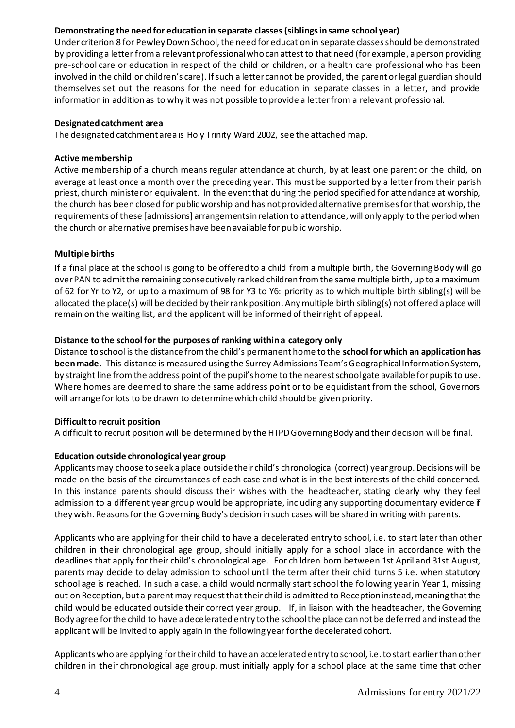# **Demonstrating the need for education in separate classes(siblings in same school year)**

Under criterion 8 for Pewley Down School, the need for education in separate classes should be demonstrated by providing a letter from a relevant professionalwho can attest to that need (for example, a person providing pre-school care or education in respect of the child or children, or a health care professional who has been involved in the child or children's care). If such a letter cannot be provided, the parent or legal guardian should themselves set out the reasons for the need for education in separate classes in a letter, and provide information in addition as to why it was not possible to provide a letter from a relevant professional.

### **Designated catchment area**

The designated catchment area is Holy Trinity Ward 2002, see the attached map.

### **Active membership**

Active membership of a church means regular attendance at church, by at least one parent or the child, on average at least once a month over the preceding year. This must be supported by a letter from their parish priest, church minister or equivalent. In the event that during the period specified for attendance at worship, the church has been closed for public worship and has not provided alternative premises for that worship, the requirements of these [admissions] arrangements in relation to attendance, will only apply to the period when the church or alternative premises have been available for public worship.

## **Multiple births**

If a final place at the school is going to be offered to a child from a multiple birth, the Governing Body will go over PAN to admit the remaining consecutively ranked children from the same multiple birth, up to a maximum of 62 for Yr to Y2, or up to a maximum of 98 for Y3 to Y6: priority as to which multiple birth sibling(s) will be allocated the place(s) will be decided by their rank position. Any multiple birth sibling(s) not offered a place will remain on the waiting list, and the applicant will be informed of their right of appeal.

### **Distance to the school for the purposes of ranking within a category only**

Distance to school is the distance from the child's permanent home to the **school for which an application has been made**. This distance is measured using the Surrey Admissions Team's Geographical Information System, by straight line from the address point of the pupil's home to the nearest school gate available for pupils to use. Where homes are deemed to share the same address point or to be equidistant from the school, Governors will arrange for lots to be drawn to determine which child should be given priority.

#### **Difficult to recruit position**

A difficult to recruit position will be determined by the HTPDGoverning Body and their decision will be final.

## **Education outside chronological year group**

Applicants may choose to seek a place outside their child's chronological (correct) year group. Decisions will be made on the basis of the circumstances of each case and what is in the best interests of the child concerned. In this instance parents should discuss their wishes with the headteacher, stating clearly why they feel admission to a different year group would be appropriate, including any supporting documentary evidence if they wish. Reasons for the Governing Body's decision in such cases will be shared in writing with parents.

Applicants who are applying for their child to have a decelerated entry to school, i.e. to start later than other children in their chronological age group, should initially apply for a school place in accordance with the deadlines that apply for their child's chronological age. For children born between 1st April and 31st August, parents may decide to delay admission to school until the term after their child turns 5 i.e. when statutory school age is reached. In such a case, a child would normally start school the following year in Year 1, missing out on Reception, but a parent may request that their child is admitted to Reception instead, meaning that the child would be educated outside their correct year group. If, in liaison with the headteacher, the Governing Body agree for the child to have a decelerated entry to the school the place cannot be deferred and instead the applicant will be invited to apply again in the following year for the decelerated cohort.

Applicants who are applying for their child to have an accelerated entry to school, i.e. to start earlier than other children in their chronological age group, must initially apply for a school place at the same time that other